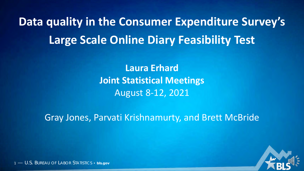**Data quality in the Consumer Expenditure Survey's Large Scale Online Diary Feasibility Test**

> **Laura Erhard Joint Statistical Meetings** August 8-12, 2021

Gray Jones, Parvati Krishnamurty, and Brett McBride

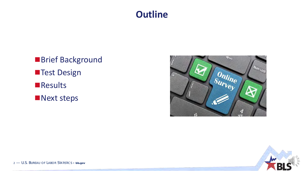### **Outline**

■Brief Background **Test Design Results Next steps** 



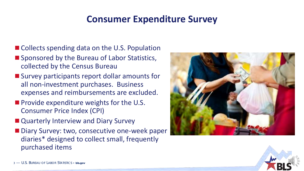### **Consumer Expenditure Survey**

- Collects spending data on the U.S. Population
- Sponsored by the Bureau of Labor Statistics, collected by the Census Bureau
- **Survey participants report dollar amounts for** all non-investment purchases. Business expenses and reimbursements are excluded.
- **Provide expenditure weights for the U.S.** Consumer Price Index (CPI)
- Quarterly Interview and Diary Survey
- Diary Survey: two, consecutive one-week paper diaries\* designed to collect small, frequently purchased items



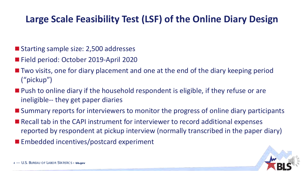### **Large Scale Feasibility Test (LSF) of the Online Diary Design**

- Starting sample size: 2,500 addresses
- Field period: October 2019-April 2020
- Two visits, one for diary placement and one at the end of the diary keeping period ("pickup")
- **Push to online diary if the household respondent is eligible, if they refuse or are** ineligible-- they get paper diaries
- **Summary reports for interviewers to monitor the progress of online diary participants**
- Recall tab in the CAPI instrument for interviewer to record additional expenses reported by respondent at pickup interview (normally transcribed in the paper diary)
- **Embedded incentives/postcard experiment**

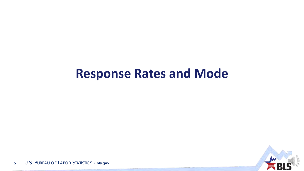## **Response Rates and Mode**

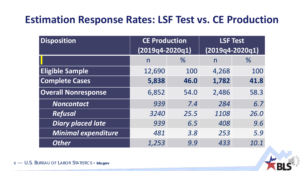## **Estimation Response Rates: LSF Test vs. CE Production**

| <b>Disposition</b>         | <b>CE Production</b><br>$(2019q4 - 2020q1)$ |      | <b>LSF Test</b><br>$(2019q4 - 2020q1)$ |      |
|----------------------------|---------------------------------------------|------|----------------------------------------|------|
|                            | n                                           | $\%$ | n                                      | $\%$ |
| <b>Eligible Sample</b>     | 12,690                                      | 100  | 4,268                                  | 100  |
| <b>Complete Cases</b>      | 5,838                                       | 46.0 | 1,782                                  | 41.8 |
| <b>Overall Nonresponse</b> | 6,852                                       | 54.0 | 2,486                                  | 58.3 |
| <b>Noncontact</b>          | 939                                         | 7.4  | 284                                    | 6.7  |
| <b>Refusal</b>             | 3240                                        | 25.5 | 1108                                   | 26.0 |
| <b>Diary placed late</b>   | 939                                         | 6.5  | 408                                    | 9.6  |
| <b>Minimal expenditure</b> | 481                                         | 3.8  | 253                                    | 5.9  |
| <b>Other</b>               | 1,253                                       | 9.9  | 433                                    | 10.1 |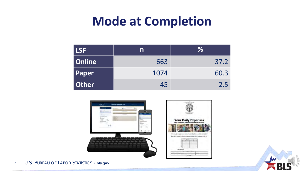## **Mode at Completion**

| LSF          | n    | $\%$ |
|--------------|------|------|
| Online       | 663  | 37.2 |
| Paper        | 1074 | 60.3 |
| <b>Other</b> | 45   | 2.5  |





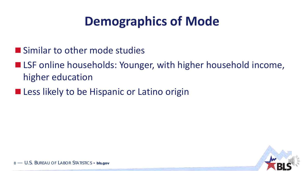# **Demographics of Mode**

- **Similar to other mode studies**
- LSF online households: Younger, with higher household income, higher education
- **Less likely to be Hispanic or Latino origin**

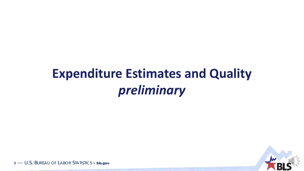# **Expenditure Estimates and Quality** *preliminary*

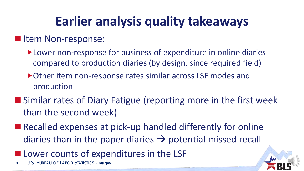## **Earlier analysis quality takeaways**

#### **In Item Non-response:**

- Lower non-response for business of expenditure in online diaries compared to production diaries (by design, since required field)
- ▶ Other item non-response rates similar across LSF modes and production
- Similar rates of Diary Fatigue (reporting more in the first week than the second week)
- Recalled expenses at pick-up handled differently for online diaries than in the paper diaries  $\rightarrow$  potential missed recall
- **Lower counts of expenditures in the LSF**

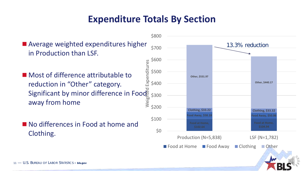### **Expenditure Totals By Section**

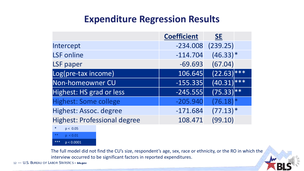### **Expenditure Regression Results**

|                                     | <b>Coefficient</b> | <b>SE</b>       |  |
|-------------------------------------|--------------------|-----------------|--|
| Intercept                           | $-234.008$         | (239.25)        |  |
| <b>LSF</b> online                   | $-114.704$         | $(46.33)*$      |  |
| LSF paper                           | $-69.693$          | (67.04)         |  |
| Log(pre-tax income)                 | 106.645            | $(22.63)$ ***   |  |
| Non-homeowner CU                    | $-155.335$         | $(40.31)^{***}$ |  |
| Highest: HS grad or less            | $-245.555$         | $(75.33)$ **    |  |
| <b>Highest: Some college</b>        | $-205.940$         | (76.18)         |  |
| Highest: Assoc. degree              | $-171.684$         | $(77.13)*$      |  |
| <b>Highest: Professional degree</b> | 108.471            | (99.10)         |  |



The full model did not find the CU's size, respondent's age, sex, race or ethnicity, or the RO in which the interview occurred to be significant factors in reported expenditures.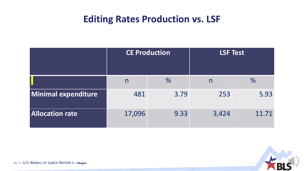## **Editing Rates Production vs. LSF**

|                        | <b>CE Production</b> |               | <b>LSF Test</b> |               |  |
|------------------------|----------------------|---------------|-----------------|---------------|--|
|                        | $\mathsf{n}$         | $\frac{0}{6}$ | n               | $\frac{0}{6}$ |  |
| Minimal expenditure    | 481                  | 3.79          | 253             | 5.93          |  |
| <b>Allocation rate</b> | 17,096               | 9.33          | 3,424           | 11.71         |  |

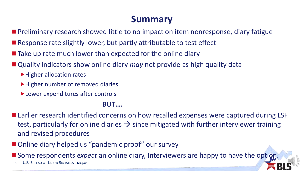### **Summary**

- **Preliminary research showed little to no impact on item nonresponse, diary fatigue**
- Response rate slightly lower, but partly attributable to test effect
- $\blacksquare$  Take up rate much lower than expected for the online diary
- Quality indicators show online diary *may* not provide as high quality data
	- ▶ Higher allocation rates
	- ▶ Higher number of removed diaries
	- ▶ Lower expenditures after controls

#### **BUT….**

- Earlier research identified concerns on how recalled expenses were captured during LSF test, particularly for online diaries  $\rightarrow$  since mitigated with further interviewer training and revised procedures
- Online diary helped us "pandemic proof" our survey

15 — U.S. BUREAU OF LABOR STATISTICS • **bls.gov Some respondents** *expect* an online diary, Interviewers are happy to have the option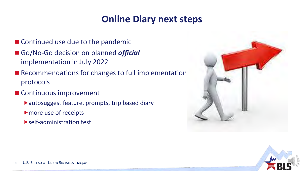### **Online Diary next steps**

- Continued use due to the pandemic
- Go/No-Go decision on planned *official* implementation in July 2022
- Recommendations for changes to full implementation protocols
- **Continuous improvement** 
	- autosuggest feature, prompts, trip based diary
	- more use of receipts
	- **Self-administration test**